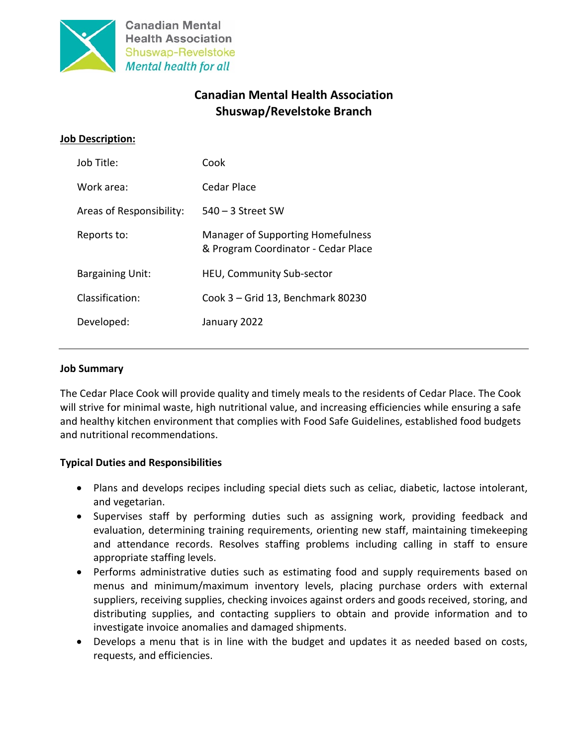

**Canadian Mental Health Association** Shuswap-Revelstoke **Mental health for all** 

# **Canadian Mental Health Association Shuswap/Revelstoke Branch**

#### **Job Description:**

| Job Title:               | Cook                                                                            |
|--------------------------|---------------------------------------------------------------------------------|
| Work area:               | Cedar Place                                                                     |
| Areas of Responsibility: | $540 - 3$ Street SW                                                             |
| Reports to:              | <b>Manager of Supporting Homefulness</b><br>& Program Coordinator - Cedar Place |
| <b>Bargaining Unit:</b>  | HEU, Community Sub-sector                                                       |
| Classification:          | Cook 3 – Grid 13, Benchmark 80230                                               |
| Developed:               | January 2022                                                                    |

#### **Job Summary**

The Cedar Place Cook will provide quality and timely meals to the residents of Cedar Place. The Cook will strive for minimal waste, high nutritional value, and increasing efficiencies while ensuring a safe and healthy kitchen environment that complies with Food Safe Guidelines, established food budgets and nutritional recommendations.

## **Typical Duties and Responsibilities**

- Plans and develops recipes including special diets such as celiac, diabetic, lactose intolerant, and vegetarian.
- Supervises staff by performing duties such as assigning work, providing feedback and evaluation, determining training requirements, orienting new staff, maintaining timekeeping and attendance records. Resolves staffing problems including calling in staff to ensure appropriate staffing levels.
- Performs administrative duties such as estimating food and supply requirements based on menus and minimum/maximum inventory levels, placing purchase orders with external suppliers, receiving supplies, checking invoices against orders and goods received, storing, and distributing supplies, and contacting suppliers to obtain and provide information and to investigate invoice anomalies and damaged shipments.
- Develops a menu that is in line with the budget and updates it as needed based on costs, requests, and efficiencies.